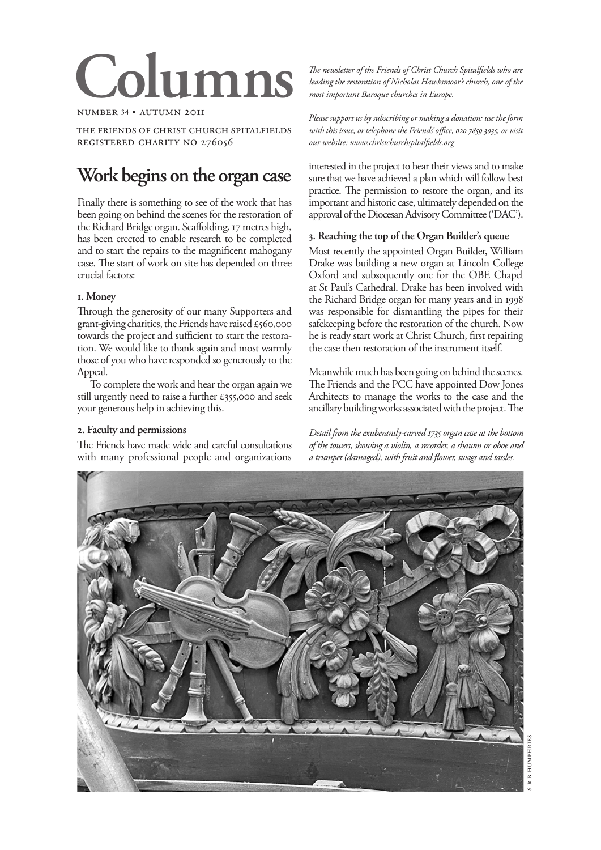# **Columns**

number **34** • autumn 2011

the friends of christ church spitalfields registered charity no 276056

# **Work begins on the organ case**

Finally there is something to see of the work that has been going on behind the scenes for the restoration of the Richard Bridge organ. Scaffolding, 17 metres high, has been erected to enable research to be completed and to start the repairs to the magnificent mahogany case. The start of work on site has depended on three crucial factors:

# **1. Money**

Through the generosity of our many Supporters and grant-giving charities, the Friends have raised  $\epsilon$ 560,000 towards the project and sufficient to start the restoration. We would like to thank again and most warmly those of you who have responded so generously to the Appeal.

To complete the work and hear the organ again we still urgently need to raise a further £355,000 and seek your generous help in achieving this.

# **2. Faculty and permissions**

The Friends have made wide and careful consultations with many professional people and organizations *The newsletter of the Friends of Christ Church Spitalfields who are leading the restoration of Nicholas Hawksmoor's church, one of the most important Baroque churches in Europe.*

*Please support us by subscribing or making a donation: use the form*  with this issue, or telephone the Friends' office, 020 7859 3035, or visit *our website: www.christchurchspitalfields.org*

interested in the project to hear their views and to make sure that we have achieved a plan which will follow best practice. The permission to restore the organ, and its important and historic case, ultimately depended on the approval of the Diocesan Advisory Committee ('DAC').

# **3. Reaching the top of the Organ Builder's queue**

Most recently the appointed Organ Builder, William Drake was building a new organ at Lincoln College Oxford and subsequently one for the OBE Chapel at St Paul's Cathedral. Drake has been involved with the Richard Bridge organ for many years and in 1998 was responsible for dismantling the pipes for their safekeeping before the restoration of the church. Now he is ready start work at Christ Church, first repairing the case then restoration of the instrument itself.

Meanwhile much has been going on behind the scenes. The Friends and the PCC have appointed Dow Jones Architects to manage the works to the case and the ancillary building works associated with the project. The

*Detail from the exuberantly-carved 1735 organ case at the bottom of the towers, showing a violin, a recorder, a shawm or oboe and a trumpet (damaged), with fruit and flower, swags and tassles.*

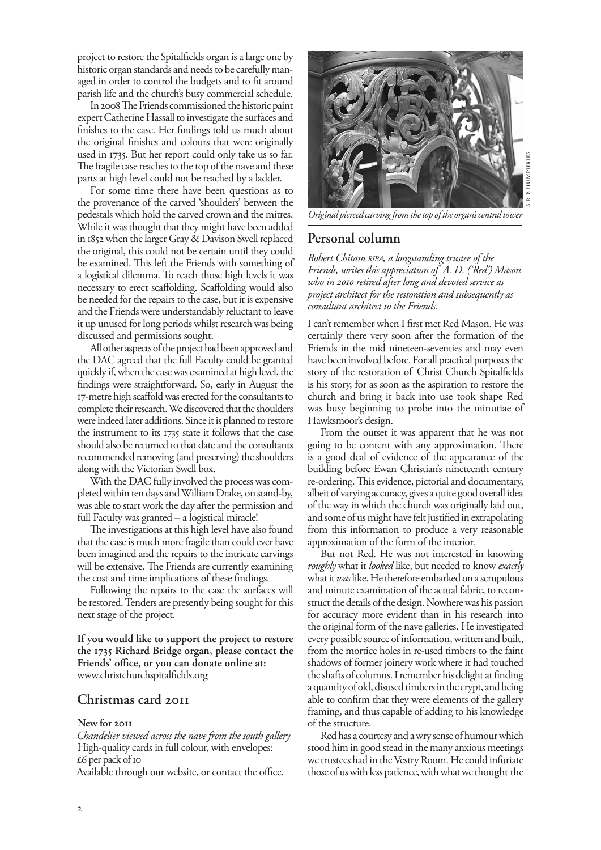project to restore the Spitalfields organ is a large one by historic organ standards and needs to be carefully managed in order to control the budgets and to fit around parish life and the church's busy commercial schedule.

In 2008 The Friends commissioned the historic paint expert Catherine Hassall to investigate the surfaces and finishes to the case. Her findings told us much about the original finishes and colours that were originally used in 1735. But her report could only take us so far. The fragile case reaches to the top of the nave and these parts at high level could not be reached by a ladder.

For some time there have been questions as to the provenance of the carved 'shoulders' between the pedestals which hold the carved crown and the mitres. While it was thought that they might have been added in 1852 when the larger Gray & Davison Swell replaced the original, this could not be certain until they could be examined. This left the Friends with something of a logistical dilemma. To reach those high levels it was necessary to erect scaffolding. Scaffolding would also be needed for the repairs to the case, but it is expensive and the Friends were understandably reluctant to leave it up unused for long periods whilst research was being discussed and permissions sought.

All other aspects of the project had been approved and the DAC agreed that the full Faculty could be granted quickly if, when the case was examined at high level, the findings were straightforward. So, early in August the 17-metre high scaffold was erected for the consultants to complete their research. We discovered that the shoulders were indeed later additions. Since it is planned to restore the instrument to its 1735 state it follows that the case should also be returned to that date and the consultants recommended removing (and preserving) the shoulders along with the Victorian Swell box.

With the DAC fully involved the process was completed within ten days and William Drake, on stand-by, was able to start work the day after the permission and full Faculty was granted – a logistical miracle!

The investigations at this high level have also found that the case is much more fragile than could ever have been imagined and the repairs to the intricate carvings will be extensive. The Friends are currently examining the cost and time implications of these findings.

Following the repairs to the case the surfaces will be restored. Tenders are presently being sought for this next stage of the project.

**If you would like to support the project to restore the 1735 Richard Bridge organ, please contact the Friends' office, or you can donate online at:**  www.christchurchspitalfields.org

# **Christmas card 2011**

#### **New for 2011**

*Chandelier viewed across the nave from the south gallery* High-quality cards in full colour, with envelopes: £6 per pack of 10

Available through our website, or contact the office.



*Original pierced carving from the top of the organ's central tower*

# **Personal column**

*Robert Chitam riba, a longstanding trustee of the Friends, writes this appreciation of A. D. ('Red') Mason who in 2010 retired after long and devoted service as project architect for the restoration and subsequently as consultant architect to the Friends.*

I can't remember when I first met Red Mason. He was certainly there very soon after the formation of the Friends in the mid nineteen-seventies and may even have been involved before. For all practical purposes the story of the restoration of Christ Church Spitalfields is his story, for as soon as the aspiration to restore the church and bring it back into use took shape Red was busy beginning to probe into the minutiae of Hawksmoor's design.

From the outset it was apparent that he was not going to be content with any approximation. There is a good deal of evidence of the appearance of the building before Ewan Christian's nineteenth century re-ordering. This evidence, pictorial and documentary, albeit of varying accuracy, gives a quite good overall idea of the way in which the church was originally laid out, and some of us might have felt justified in extrapolating from this information to produce a very reasonable approximation of the form of the interior.

But not Red. He was not interested in knowing *roughly* what it *looked* like, but needed to know *exactly* what it *was* like. He therefore embarked on a scrupulous and minute examination of the actual fabric, to reconstruct the details of the design. Nowhere was his passion for accuracy more evident than in his research into the original form of the nave galleries. He investigated every possible source of information, written and built, from the mortice holes in re-used timbers to the faint shadows of former joinery work where it had touched the shafts of columns. I remember his delight at finding a quantity of old, disused timbers in the crypt, and being able to confirm that they were elements of the gallery framing, and thus capable of adding to his knowledge of the structure.

Red has a courtesy and a wry sense of humour which stood him in good stead in the many anxious meetings we trustees had in the Vestry Room. He could infuriate those of us with less patience, with what we thought the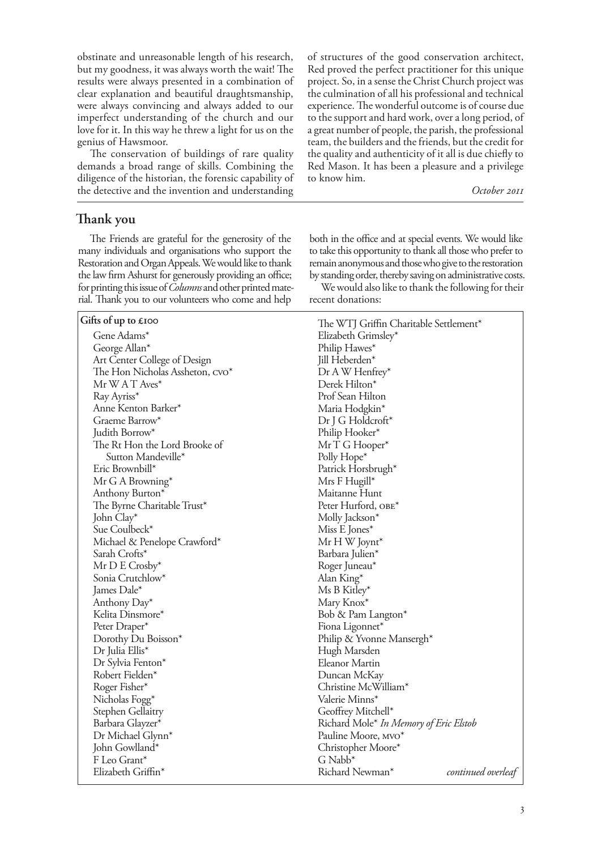obstinate and unreasonable length of his research, but my goodness, it was always worth the wait! The results were always presented in a combination of clear explanation and beautiful draughtsmanship, were always convincing and always added to our imperfect understanding of the church and our love for it. In this way he threw a light for us on the genius of Hawsmoor.

The conservation of buildings of rare quality demands a broad range of skills. Combining the diligence of the historian, the forensic capability of the detective and the invention and understanding

**Thank you**

The Friends are grateful for the generosity of the many individuals and organisations who support the Restoration and Organ Appeals. We would like to thank the law firm Ashurst for generously providing an office; for printing this issue of *Columns* and other printed material. Thank you to our volunteers who come and help

#### **Gifts of up to £100**

Gene Adams\* George Allan\* Art Center College of Design The Hon Nicholas Assheton,  $\text{cov}^*$ Mr W A T Aves\* Ray Ayriss\* Anne Kenton Barker\* Graeme Barrow\* Judith Borrow\* The Rt Hon the Lord Brooke of Sutton Mandeville\* Eric Brownbill\* Mr G A Browning\* Anthony Burton\* The Byrne Charitable Trust\* John Clay\* Sue Coulbeck\* Michael & Penelope Crawford\* Sarah Crofts\* Mr D E Crosby\* Sonia Crutchlow\* James Dale\* Anthony Day\* Kelita Dinsmore\* Peter Draper\* Dorothy Du Boisson\* Dr Julia Ellis\* Dr Sylvia Fenton\* Robert Fielden\* Roger Fisher\* Nicholas Fogg\* Stephen Gellaitry Barbara Glayzer\* Dr Michael Glynn\* John Gowlland\* F Leo Grant\* Elizabeth Griffin\*

of structures of the good conservation architect, Red proved the perfect practitioner for this unique project. So, in a sense the Christ Church project was the culmination of all his professional and technical experience. The wonderful outcome is of course due to the support and hard work, over a long period, of a great number of people, the parish, the professional team, the builders and the friends, but the credit for the quality and authenticity of it all is due chiefly to Red Mason. It has been a pleasure and a privilege to know him.

*October 2011* 

both in the office and at special events. We would like to take this opportunity to thank all those who prefer to remain anonymous and those who give to the restoration by standing order, thereby saving on administrative costs.

We would also like to thank the following for their recent donations:

| The WTJ Griffin Charitable Settlement* |                    |
|----------------------------------------|--------------------|
| Elizabeth Grimsley*                    |                    |
| Philip Hawes*                          |                    |
| Jill Heberden*                         |                    |
| Dr A W Henfrey*                        |                    |
| Derek Hilton*                          |                    |
| Prof Sean Hilton                       |                    |
| Maria Hodgkin*                         |                    |
| Dr J G Holdcroft*                      |                    |
| Philip Hooker*                         |                    |
| MrTG Hooper*                           |                    |
| Polly Hope*                            |                    |
| Patrick Horsbrugh*                     |                    |
| Mrs F Hugill*                          |                    |
| Maitanne Hunt                          |                    |
| Peter Hurford, OBE*                    |                    |
| Molly Jackson*                         |                    |
| Miss E Jones*                          |                    |
| Mr H W Joynt*                          |                    |
| Barbara Julien*                        |                    |
| Roger Juneau*                          |                    |
| Alan King*                             |                    |
| Ms B Kitley*                           |                    |
| Mary Knox*                             |                    |
| Bob & Pam Langton*                     |                    |
| Fiona Ligonnet*                        |                    |
| Philip & Yvonne Mansergh*              |                    |
| Hugh Marsden                           |                    |
| <b>Eleanor Martin</b>                  |                    |
| Duncan McKay                           |                    |
| Christine McWilliam*                   |                    |
| Valerie Minns*                         |                    |
| Geoffrey Mitchell*                     |                    |
| Richard Mole* In Memory of Eric Elstob |                    |
| Pauline Moore, MVO*                    |                    |
| Christopher Moore*                     |                    |
| G Nabb <sup>*</sup>                    |                    |
| Richard Newman*                        | continued overleaf |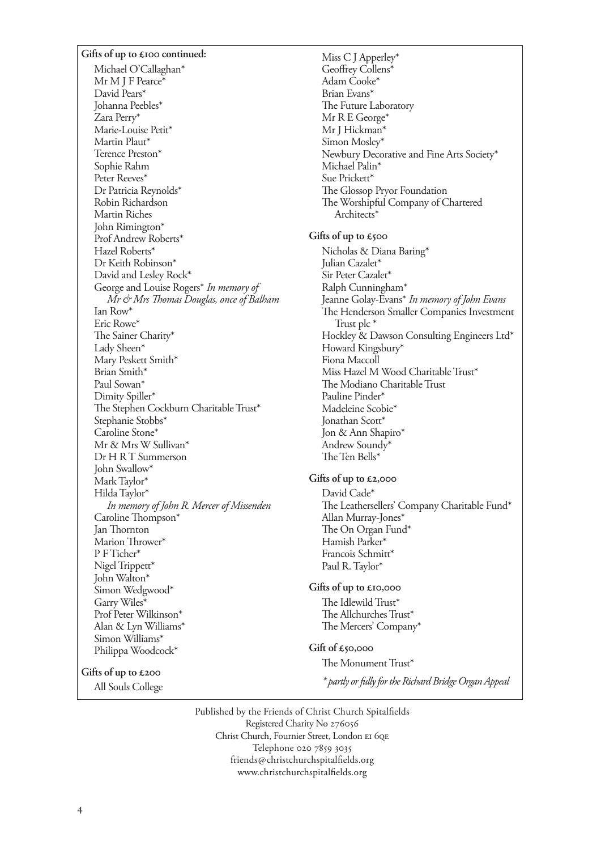#### **Gifts of up to £100 continued:**

Michael O'Callaghan\* Mr M J F Pearce\* David Pears\* Johanna Peebles\* Zara Perry\* Marie-Louise Petit\* Martin Plaut\* Terence Preston\* Sophie Rahm Peter Reeves\* Dr Patricia Reynolds\* Robin Richardson Martin Riches John Rimington\* Prof Andrew Roberts\* Hazel Roberts\* Dr Keith Robinson\* David and Lesley Rock\* George and Louise Rogers\* *In memory of Mr & Mrs Thomas Douglas, once of Balham* Ian Row\* Eric Rowe\* The Sainer Charity\* Lady Sheen\* Mary Peskett Smith\* Brian Smith\* Paul Sowan\* Dimity Spiller\* The Stephen Cockburn Charitable Trust\* Stephanie Stobbs\* Caroline Stone\* Mr & Mrs W Sullivan\* Dr H R T Summerson John Swallow\* Mark Taylor\* Hilda Taylor\* *In memory of John R. Mercer of Missenden* Caroline Thompson\* Jan Thornton Marion Thrower\* P F Ticher\* Nigel Trippett\* John Walton\* Simon Wedgwood\* Garry Wiles\* Prof Peter Wilkinson\* Alan & Lyn Williams\* Simon Williams\* Philippa Woodcock\*

#### **Gifts of up to £200**

All Souls College

Miss C J Apperley\* Geoffrey Collens\* Adam Cooke\* Brian Evans\* The Future Laboratory Mr R E George\* Mr J Hickman\* Simon Mosley\* Newbury Decorative and Fine Arts Society\* Michael Palin\* Sue Prickett<sup>\*</sup> The Glossop Pryor Foundation The Worshipful Company of Chartered Architects\*

#### **Gifts of up to £500**

Nicholas & Diana Baring\* Julian Cazalet\* Sir Peter Cazalet\* Ralph Cunningham\* Jeanne Golay-Evans\* *In memory of John Evans* The Henderson Smaller Companies Investment Trust plc \* Hockley & Dawson Consulting Engineers Ltd\* Howard Kingsbury\* Fiona Maccoll Miss Hazel M Wood Charitable Trust\* The Modiano Charitable Trust Pauline Pinder\* Madeleine Scobie\* Jonathan Scott\* Jon & Ann Shapiro\* Andrew Soundy\* The Ten Bells\*

#### **Gifts of up to £2,000**

David Cade\* The Leathersellers' Company Charitable Fund\* Allan Murray-Jones\* The On Organ Fund\* Hamish Parker\* Francois Schmitt\* Paul R. Taylor\*

#### **Gifts of up to £10,000**

The Idlewild Trust\* The Allchurches Trust\* The Mercers' Company\*

#### **Gift of £50,000**

The Monument Trust\*

*\* partly or fully for the Richard Bridge Organ Appeal*

Published by the Friends of Christ Church Spitalfields Registered Charity No Christ Church, Fournier Street, London EI 6QE Telephone 020 7859 3035 friends@christchurchspitalfields.org www.christchurchspitalfields.org